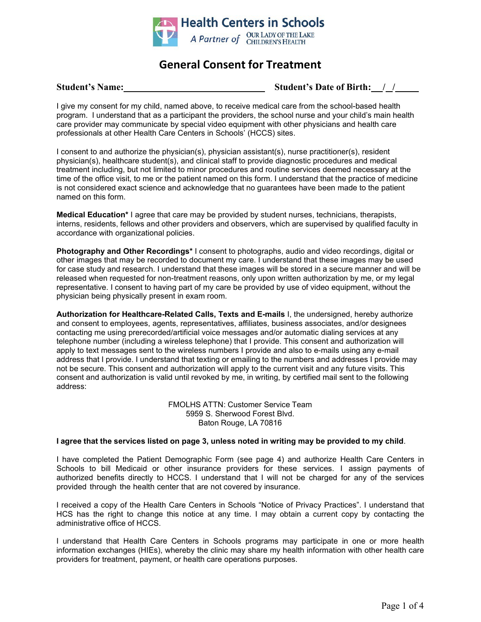

# **General Consent for Treatment**

### **Student's Name: Student's Date of Birth: / /**

I give my consent for my child, named above, to receive medical care from the school-based health program. I understand that as a participant the providers, the school nurse and your child's main health care provider may communicate by special video equipment with other physicians and health care professionals at other Health Care Centers in Schools' (HCCS) sites.

I consent to and authorize the physician(s), physician assistant(s), nurse practitioner(s), resident physician(s), healthcare student(s), and clinical staff to provide diagnostic procedures and medical treatment including, but not limited to minor procedures and routine services deemed necessary at the time of the office visit, to me or the patient named on this form. I understand that the practice of medicine is not considered exact science and acknowledge that no guarantees have been made to the patient named on this form.

**Medical Education\*** I agree that care may be provided by student nurses, technicians, therapists, interns, residents, fellows and other providers and observers, which are supervised by qualified faculty in accordance with organizational policies.

**Photography and Other Recordings\*** I consent to photographs, audio and video recordings, digital or other images that may be recorded to document my care. I understand that these images may be used for case study and research. I understand that these images will be stored in a secure manner and will be released when requested for non-treatment reasons, only upon written authorization by me, or my legal representative. I consent to having part of my care be provided by use of video equipment, without the physician being physically present in exam room.

**Authorization for Healthcare-Related Calls, Texts and E-mails** I, the undersigned, hereby authorize and consent to employees, agents, representatives, affiliates, business associates, and/or designees contacting me using prerecorded/artificial voice messages and/or automatic dialing services at any telephone number (including a wireless telephone) that I provide. This consent and authorization will apply to text messages sent to the wireless numbers I provide and also to e-mails using any e-mail address that I provide. I understand that texting or emailing to the numbers and addresses I provide may not be secure. This consent and authorization will apply to the current visit and any future visits. This consent and authorization is valid until revoked by me, in writing, by certified mail sent to the following address:

> FMOLHS ATTN: Customer Service Team 5959 S. Sherwood Forest Blvd. Baton Rouge, LA 70816

#### I agree that the services listed on page 3, unless noted in writing may be provided to my child.

I have completed the Patient Demographic Form (see page 4) and authorize Health Care Centers in Schools to bill Medicaid or other insurance providers for these services. I assign payments of authorized benefits directly to HCCS. I understand that I will not be charged for any of the services provided through the health center that are not covered by insurance.

I received a copy of the Health Care Centers in Schools "Notice of Privacy Practices". I understand that HCS has the right to change this notice at any time. I may obtain a current copy by contacting the administrative office of HCCS.

I understand that Health Care Centers in Schools programs may participate in one or more health information exchanges (HIEs), whereby the clinic may share my health information with other health care providers for treatment, payment, or health care operations purposes.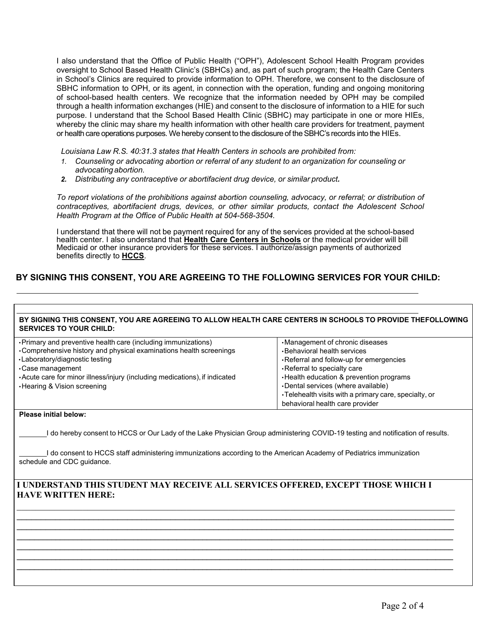I also understand that the Office of Public Health ("OPH"), Adolescent School Health Program provides oversight to School Based Health Clinic's (SBHCs) and, as part of such program; the Health Care Centers in School's Clinics are required to provide information to OPH. Therefore, we consent to the disclosure of SBHC information to OPH, or its agent, in connection with the operation, funding and ongoing monitoring of school-based health centers. We recognize that the information needed by OPH may be compiled through a health information exchanges (HIE) and consent to the disclosure of information to a HIE for such purpose. I understand that the School Based Health Clinic (SBHC) may participate in one or more HIEs, whereby the clinic may share my health information with other health care providers for treatment, payment or health care operations purposes. We hereby consent to the disclosure of the SBHC's records into the HIEs.

*Louisiana Law R.S. 40:31.3 states that Health Centers in schools are prohibited from:*

- *1. Counseling or advocating abortion or referral of any student to an organization for counseling or advocating abortion.*
- *2. Distributing any contraceptive or abortifacient drug device, or similar product.*

*To report violations of the prohibitions against abortion counseling, advocacy, or referral; or distribution of contraceptives, abortifacient drugs, devices, or other similar products, contact the Adolescent School Health Program at the Office of Public Health at 504-568-3504.*

I understand that there will not be payment required for any of the services provided at the school-based health center. I also understand that **Health Care Centers in Schools** or the medical provider will bill Medicaid or other insurance providers for these services. I authorize/assign payments of authorized benefits directly to **HCCS**.

## **BY SIGNING THIS CONSENT, YOU ARE AGREEING TO THE FOLLOWING SERVICES FOR YOUR CHILD:**

#### **BY SIGNING THIS CONSENT, YOU ARE AGREEING TO ALLOW HEALTH CARE CENTERS IN SCHOOLS TO PROVIDE THEFOLLOWING SERVICES TO YOUR CHILD:**

| • Primary and preventive health care (including immunizations)<br>•Comprehensive history and physical examinations health screenings<br>•Laboratory/diagnostic testing<br>$\cdot$ Case management<br>• Acute care for minor illness/injury (including medications), if indicated<br>⋅ Hearing & Vision screening | Management of chronic diseases<br>. Behavioral health services<br>•Referral and follow-up for emergencies<br>Referral to specialty care<br>. Health education & prevention programs<br>•Dental services (where available)<br>•Telehealth visits with a primary care, specialty, or<br>behavioral health care provider |
|------------------------------------------------------------------------------------------------------------------------------------------------------------------------------------------------------------------------------------------------------------------------------------------------------------------|-----------------------------------------------------------------------------------------------------------------------------------------------------------------------------------------------------------------------------------------------------------------------------------------------------------------------|
|                                                                                                                                                                                                                                                                                                                  |                                                                                                                                                                                                                                                                                                                       |

#### **Please initial below:**

I do hereby consent to HCCS or Our Lady of the Lake Physician Group administering COVID-19 testing and notification of results.

I do consent to HCCS staff administering immunizations according to the American Academy of Pediatrics immunization schedule and CDC guidance.

## **I UNDERSTAND THIS STUDENT MAY RECEIVE ALL SERVICES OFFERED, EXCEPT THOSE WHICH I HAVE WRITTEN HERE:**

 $\_$  , and the set of the set of the set of the set of the set of the set of the set of the set of the set of the set of the set of the set of the set of the set of the set of the set of the set of the set of the set of th  $\_$  ,  $\_$  ,  $\_$  ,  $\_$  ,  $\_$  ,  $\_$  ,  $\_$  ,  $\_$  ,  $\_$  ,  $\_$  ,  $\_$  ,  $\_$  ,  $\_$  ,  $\_$  ,  $\_$  ,  $\_$  ,  $\_$  ,  $\_$  ,  $\_$  ,  $\_$  ,  $\_$  ,  $\_$  ,  $\_$  ,  $\_$  ,  $\_$  ,  $\_$  ,  $\_$  ,  $\_$  ,  $\_$  ,  $\_$  ,  $\_$  ,  $\_$  ,  $\_$  ,  $\_$  ,  $\_$  ,  $\_$  ,  $\_$  ,  $\_$  ,  $\_$  ,  $\_$  ,  $\_$  ,  $\_$  ,  $\_$  ,  $\_$  ,  $\_$  ,  $\_$  ,  $\_$  ,  $\_$  ,  $\_$  ,  $\_$  ,  $\_$  ,  $\_$  ,  $\_$  ,  $\_$  ,  $\_$  ,  $\_$  ,  $\_$  ,  $\_$  ,  $\_$  ,  $\_$  ,  $\_$  ,  $\_$  ,  $\_$  ,  $\_$  ,  $\_$  ,  $\_$  ,  $\_$  ,  $\_$  ,  $\_$  ,  $\_$  ,  $\_$  ,  $\_$  ,  $\_$  ,  $\_$  , **\_\_\_\_\_\_\_\_\_\_\_\_\_\_\_\_\_\_\_\_\_\_\_\_\_\_\_\_\_\_\_\_\_\_\_\_\_\_\_\_\_\_\_\_\_\_\_\_\_\_\_\_\_\_\_\_\_\_\_\_\_\_\_\_\_\_\_\_\_\_\_\_\_\_\_\_\_\_\_\_\_\_\_\_\_\_\_\_\_\_\_\_\_\_\_\_\_\_\_\_\_ \_\_\_\_\_\_\_\_\_\_\_\_\_\_\_\_\_\_\_\_\_\_\_\_\_\_\_\_\_\_\_\_\_\_\_\_\_\_\_\_\_\_\_\_\_\_\_\_\_\_\_\_\_\_\_\_\_\_\_\_\_\_\_\_\_\_\_\_\_\_\_\_\_\_\_\_\_\_\_\_\_\_\_\_\_\_\_\_\_\_\_\_\_\_\_\_\_\_\_\_\_ \_\_\_\_\_\_\_\_\_\_\_\_\_\_\_\_\_\_\_\_\_\_\_\_\_\_\_\_\_\_\_\_\_\_\_\_\_\_\_\_\_\_\_\_\_\_\_\_\_\_\_\_\_\_\_\_\_\_\_\_\_\_\_\_\_\_\_\_\_\_\_\_\_\_\_\_\_\_\_\_\_\_\_\_\_\_\_\_\_\_\_\_\_\_\_\_\_\_\_\_\_ \_\_\_\_\_\_\_\_\_\_\_\_\_\_\_\_\_\_\_\_\_\_\_\_\_\_\_\_\_\_\_\_\_\_\_\_\_\_\_\_\_\_\_\_\_\_\_\_\_\_\_\_\_\_\_\_\_\_\_\_\_\_\_\_\_\_\_\_\_\_\_\_\_\_\_\_\_\_\_\_\_\_\_\_\_\_\_\_\_\_\_\_\_\_\_\_\_\_\_\_\_**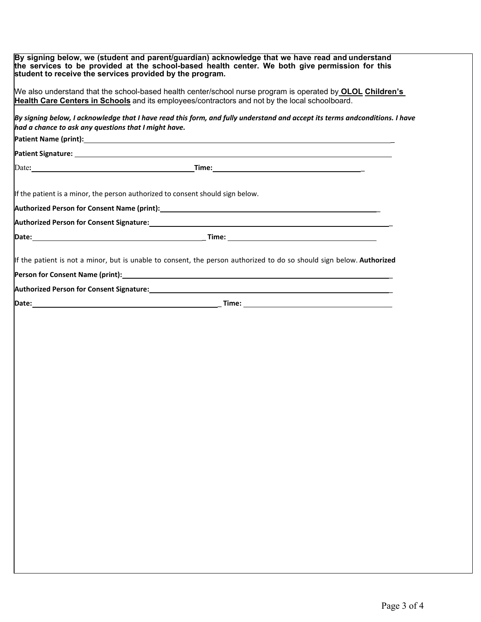| By signing below, we (student and parent/guardian) acknowledge that we have read and understand<br>the services to be provided at the school-based health center. We both give permission for this<br>student to receive the services provided by the program. |  |
|----------------------------------------------------------------------------------------------------------------------------------------------------------------------------------------------------------------------------------------------------------------|--|
| We also understand that the school-based health center/school nurse program is operated by <b>OLOL Children's</b><br>Health Care Centers in Schools and its employees/contractors and not by the local schoolboard.                                            |  |
| By signing below, I acknowledge that I have read this form, and fully understand and accept its terms andconditions. I have<br>had a chance to ask any questions that I might have.                                                                            |  |
|                                                                                                                                                                                                                                                                |  |
| Patient Signature: <u>Patient Signature:</u> Patient Signature: Patient Signature: Patient Signature: Patient Signature                                                                                                                                        |  |
| Date: $\qquad \qquad \qquad$ Time: $\qquad \qquad$ Time:                                                                                                                                                                                                       |  |
| If the patient is a minor, the person authorized to consent should sign below.                                                                                                                                                                                 |  |
|                                                                                                                                                                                                                                                                |  |
|                                                                                                                                                                                                                                                                |  |
|                                                                                                                                                                                                                                                                |  |
| If the patient is not a minor, but is unable to consent, the person authorized to do so should sign below. Authorized                                                                                                                                          |  |
|                                                                                                                                                                                                                                                                |  |
|                                                                                                                                                                                                                                                                |  |
|                                                                                                                                                                                                                                                                |  |